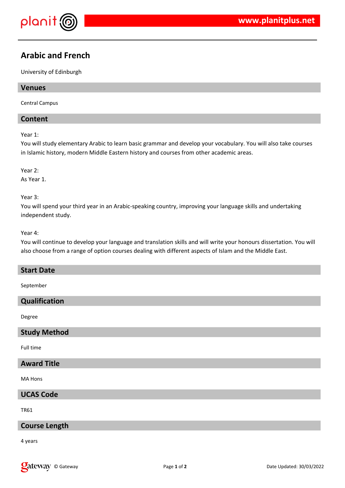

# **Arabic and French**

University of Edinburgh

## **Venues**

Central Campus

## **Content**

Year 1:

You will study elementary Arabic to learn basic grammar and develop your vocabulary. You will also take courses in Islamic history, modern Middle Eastern history and courses from other academic areas.

Year 2:

As Year 1.

Year 3:

You will spend your third year in an Arabic-speaking country, improving your language skills and undertaking independent study.

Year 4:

You will continue to develop your language and translation skills and will write your honours dissertation. You will also choose from a range of option courses dealing with different aspects of Islam and the Middle East.

#### **Start Date**

September

#### **Qualification**

Degree

#### **Study Method**

Full time

## **Award Title**

MA Hons

**UCAS Code**

TR61

## **Course Length**

4 years